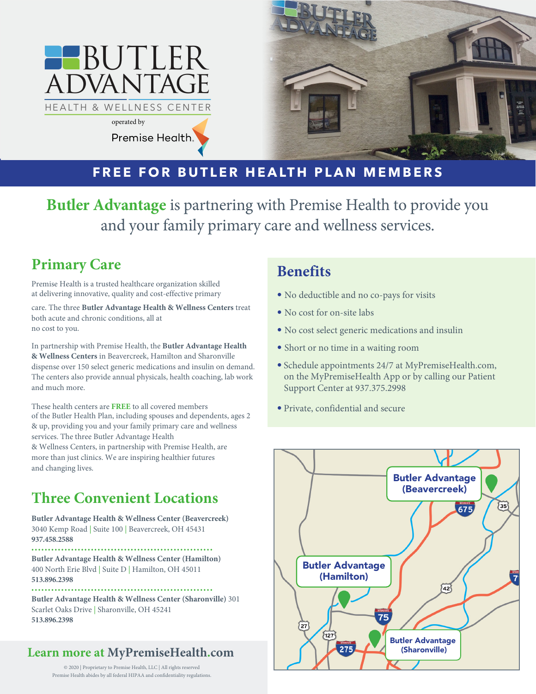

Premise Health.



### **FREE FOR BUTLER HEALTH PLAN MEMBERS**

**Butler Advantage** is partnering with Premise Health to provide you and your family primary care and wellness services.

### **Primary Care**

Premise Health is a trusted healthcare organization skilled at delivering innovative, quality and cost-effective primary

care. The three **Butler Advantage Health & Wellness Centers** treat both acute and chronic conditions, all at no cost to you.

In partnership with Premise Health, the **Butler Advantage Health & Wellness Centers** in Beavercreek, Hamilton and Sharonville dispense over 150 select generic medications and insulin on demand. The centers also provide annual physicals, health coaching, lab work and much more.

These health centers are **FREE** to all covered members of the Butler Health Plan, including spouses and dependents, ages 2 & up, providing you and your family primary care and wellness services. The three Butler Advantage Health & Wellness Centers, in partnership with Premise Health, are more than just clinics. We are inspiring healthier futures and changing lives.

## **Three Convenient Locations**

**Butler Advantage Health & Wellness Center (Beavercreek)** 3040 Kemp Road | Suite 100 | Beavercreek, OH 45431 **937.458.2588**

••••••••••••••••••••••••••••••••••••••••••••••••••••••• **Butler Advantage Health & Wellness Center (Hamilton)** 400 North Erie Blvd | Suite D | Hamilton, OH 45011 **513.896.2398**

••••••••••••••••••••••••••••••••••••••••••••••••••••••• **Butler Advantage Health & Wellness Center (Sharonville)** 301 Scarlet Oaks Drive | Sharonville, OH 45241 **513.896.2398**

### **Learn more at MyPremiseHealth.com**

© 2020 | Proprietary to Premise Health, LLC | All rights reserved Premise Health abides by all federal HIPAA and confidentiality regulations.

### **Benefits**

- No deductible and no co-pays for visits
- No cost for on-site labs
- No cost select generic medications and insulin
- Short or no time in a waiting room
- Schedule appointments 24/7 at MyPremiseHealth.com, on the MyPremiseHealth App or by calling our Patient Support Center at 937.375.2998
- Private, confidential and secure